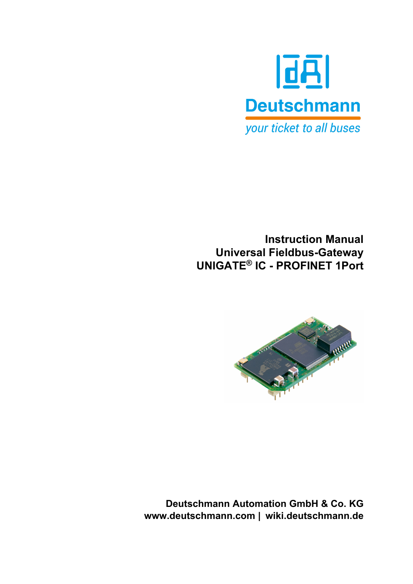

**Instruction Manual Universal Fieldbus-Gateway UNIGATE® IC - PROFINET 1Port**



**Deutschmann Automation GmbH & Co. KG www.deutschmann.com | wiki.deutschmann.de**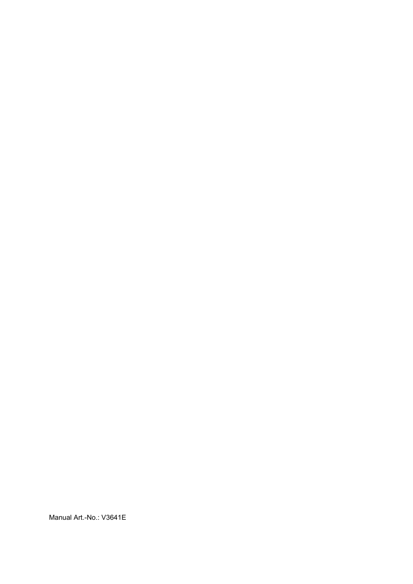Manual Art.-No.: V3641E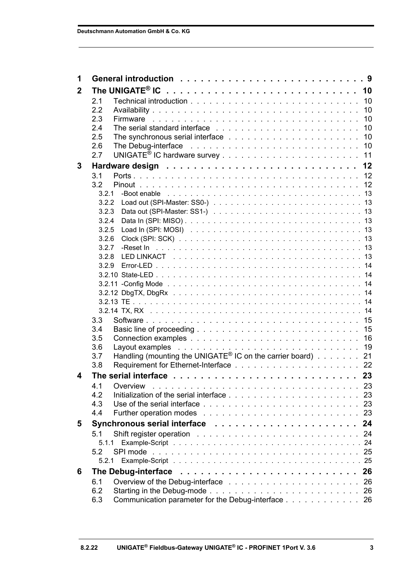| 1            |                                                                                |     |
|--------------|--------------------------------------------------------------------------------|-----|
| $\mathbf{2}$ |                                                                                |     |
|              | 2.1                                                                            |     |
|              | 2.2                                                                            |     |
|              | 2.3                                                                            |     |
|              | 2.4                                                                            |     |
|              | 2.5                                                                            |     |
|              | 2.6                                                                            |     |
|              | 2.7                                                                            |     |
| 3            |                                                                                |     |
|              | 3.1                                                                            |     |
|              | 3.2                                                                            |     |
|              | 3.2.1                                                                          |     |
|              | 3.2.2                                                                          |     |
|              | 3.2.3                                                                          |     |
|              | 3.2.4                                                                          |     |
|              | 3.2.5                                                                          |     |
|              | 3.2.6                                                                          |     |
|              | 3.2.7                                                                          |     |
|              | 3.2.8                                                                          |     |
|              | 3.2.9                                                                          |     |
|              |                                                                                |     |
|              |                                                                                |     |
|              |                                                                                |     |
|              |                                                                                |     |
|              | 3.3                                                                            |     |
|              | 3.4                                                                            |     |
|              | 3.5                                                                            |     |
|              | 3.6                                                                            |     |
|              | Handling (mounting the UNIGATE <sup>®</sup> IC on the carrier board) 21<br>3.7 |     |
|              | 3.8                                                                            |     |
| 4            |                                                                                |     |
|              | 4.1                                                                            |     |
|              | Overview<br>4.2                                                                |     |
|              | 4.3                                                                            | 23  |
|              | 4.4                                                                            | 23  |
|              |                                                                                | 24  |
| 5            | Synchronous serial interface                                                   |     |
|              | 5.1                                                                            | -24 |
|              | 5.1.1<br>5.2<br>SPI mode                                                       |     |
|              |                                                                                |     |
|              | 5.2.1                                                                          |     |
| 6            | The Debug-interface                                                            | 26  |
|              | 6.1                                                                            | 26  |
|              | 6.2                                                                            | 26  |
|              | Communication parameter for the Debug-interface 26<br>6.3                      |     |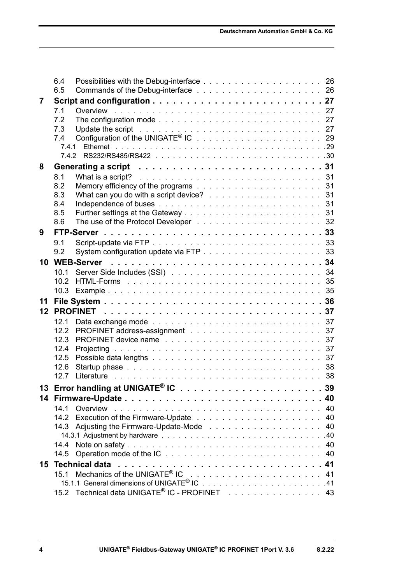|    | 6.4                                                                                                                   |    |
|----|-----------------------------------------------------------------------------------------------------------------------|----|
|    | 6.5                                                                                                                   |    |
| 7  | 7.1                                                                                                                   |    |
|    | 7.2<br>The configuration mode $\ldots \ldots \ldots \ldots \ldots \ldots \ldots \ldots \ldots \ldots 27$              |    |
|    | 7.3                                                                                                                   |    |
|    | 7.4                                                                                                                   |    |
|    | 7.4.1                                                                                                                 |    |
|    | 7.4.2                                                                                                                 |    |
| 8  |                                                                                                                       |    |
|    | What is a script? (a) in a series and series and series and series and series are series and series and series<br>8.1 |    |
|    | 8.2                                                                                                                   |    |
|    | What can you do with a script device? 31<br>8.3                                                                       |    |
|    | 8.4<br>8.5                                                                                                            |    |
|    | 8.6                                                                                                                   |    |
| 9  |                                                                                                                       |    |
|    | 9.1                                                                                                                   |    |
|    | 9.2                                                                                                                   |    |
|    |                                                                                                                       |    |
|    | 10.1                                                                                                                  |    |
|    | 10.2                                                                                                                  |    |
|    | 10.3                                                                                                                  |    |
| 11 |                                                                                                                       |    |
| 12 |                                                                                                                       |    |
|    | 12.1                                                                                                                  |    |
|    | 12.2                                                                                                                  |    |
|    | 12.3                                                                                                                  |    |
|    | 12.4<br>Projecting                                                                                                    | 37 |
|    | 12.5                                                                                                                  |    |
|    | 12.6                                                                                                                  |    |
|    | 12.7                                                                                                                  |    |
|    | 13 Error handling at UNIGATE® IC $\dots\dots\dots\dots\dots\dots\dots\dots\dots$                                      |    |
|    |                                                                                                                       |    |
|    | 14.1<br>Overview                                                                                                      |    |
|    |                                                                                                                       |    |
|    |                                                                                                                       | 40 |
|    | 14.4                                                                                                                  | 40 |
|    | 14.5                                                                                                                  | 40 |
| 15 | <b>Technical data</b>                                                                                                 |    |
|    | 15.1                                                                                                                  |    |
|    |                                                                                                                       |    |
|    | 15.2 Technical data UNIGATE <sup>®</sup> IC - PROFINET 43                                                             |    |
|    |                                                                                                                       |    |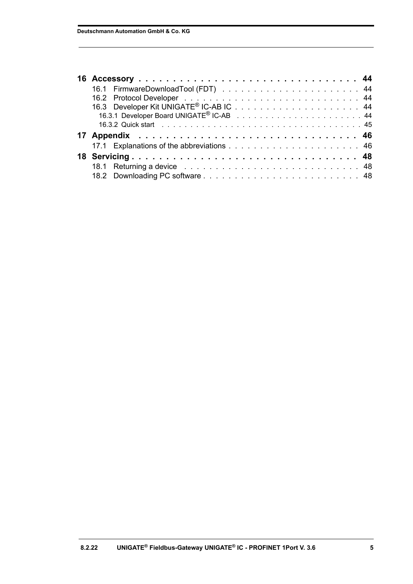| 18.1 Returning a device response to the contract of the contract of the contract of the contract of the contract of the contract of the contract of the contract of the contract of the contract of the contract of the contra |  |
|--------------------------------------------------------------------------------------------------------------------------------------------------------------------------------------------------------------------------------|--|
|                                                                                                                                                                                                                                |  |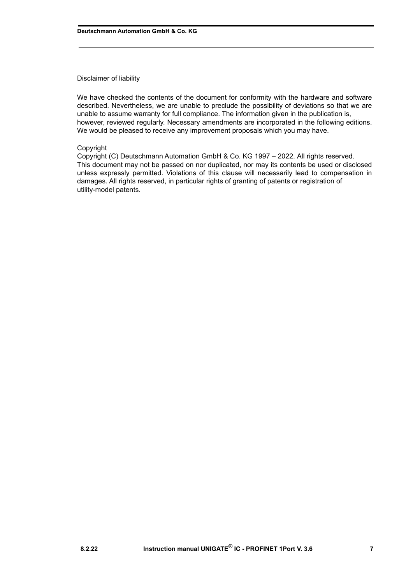#### Disclaimer of liability

We have checked the contents of the document for conformity with the hardware and software described. Nevertheless, we are unable to preclude the possibility of deviations so that we are unable to assume warranty for full compliance. The information given in the publication is, however, reviewed regularly. Necessary amendments are incorporated in the following editions. We would be pleased to receive any improvement proposals which you may have.

#### Copyright

Copyright (C) Deutschmann Automation GmbH & Co. KG 1997 – 2022. All rights reserved. This document may not be passed on nor duplicated, nor may its contents be used or disclosed unless expressly permitted. Violations of this clause will necessarily lead to compensation in damages. All rights reserved, in particular rights of granting of patents or registration of utility-model patents.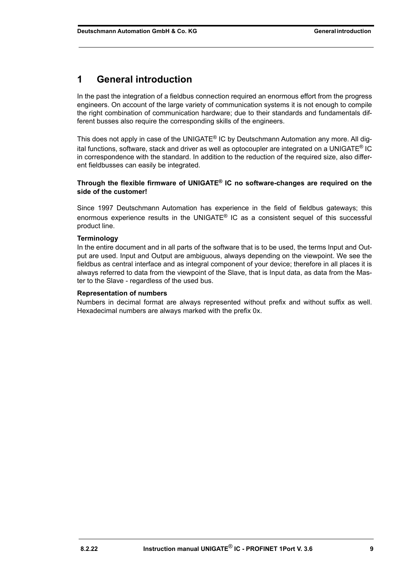# <span id="page-8-0"></span>**1 General introduction**

In the past the integration of a fieldbus connection required an enormous effort from the progress engineers. On account of the large variety of communication systems it is not enough to compile the right combination of communication hardware; due to their standards and fundamentals different busses also require the corresponding skills of the engineers.

This does not apply in case of the UNIGATE<sup>®</sup> IC by Deutschmann Automation any more. All digital functions, software, stack and driver as well as optocoupler are integrated on a UNIGATE® IC in correspondence with the standard. In addition to the reduction of the required size, also different fieldbusses can easily be integrated.

#### **Through the flexible firmware of UNIGATE® IC no software-changes are required on the side of the customer!**

Since 1997 Deutschmann Automation has experience in the field of fieldbus gateways; this enormous experience results in the UNIGATE<sup>®</sup> IC as a consistent sequel of this successful product line.

#### **Terminology**

In the entire document and in all parts of the software that is to be used, the terms Input and Output are used. Input and Output are ambiguous, always depending on the viewpoint. We see the fieldbus as central interface and as integral component of your device; therefore in all places it is always referred to data from the viewpoint of the Slave, that is Input data, as data from the Master to the Slave - regardless of the used bus.

#### **Representation of numbers**

Numbers in decimal format are always represented without prefix and without suffix as well. Hexadecimal numbers are always marked with the prefix 0x.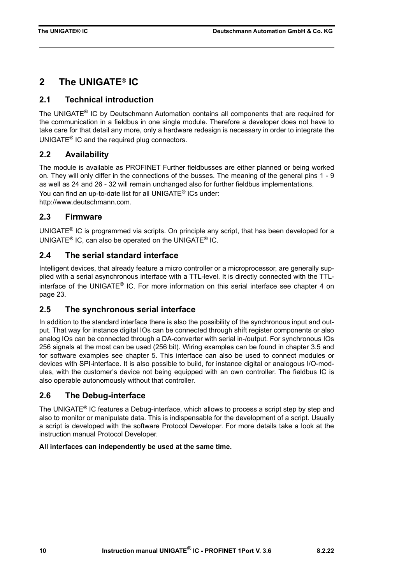# <span id="page-9-0"></span>**2 The UNIGATE**® **IC**

## <span id="page-9-1"></span>**2.1 Technical introduction**

The UNIGATE® IC by Deutschmann Automation contains all components that are required for the communication in a fieldbus in one single module. Therefore a developer does not have to take care for that detail any more, only a hardware redesign is necessary in order to integrate the UNIGATE® IC and the required plug connectors.

## <span id="page-9-2"></span>**2.2 Availability**

The module is available as PROFINET Further fieldbusses are either planned or being worked on. They will only differ in the connections of the busses. The meaning of the general pins 1 - 9 as well as 24 and 26 - 32 will remain unchanged also for further fieldbus implementations. You can find an up-to-date list for all UNIGATE® ICs under: [http://www.deutschmann.com.](http://www.deutschmann.com)

## <span id="page-9-3"></span>**2.3 Firmware**

UNIGATE® IC is programmed via scripts. On principle any script, that has been developed for a UNIGATE® IC, can also be operated on the UNIGATE® IC.

## <span id="page-9-4"></span>**2.4 The serial standard interface**

Intelligent devices, that already feature a micro controller or a microprocessor, are generally supplied with a serial asynchronous interface with a TTL-level. It is directly connected with the TTLinterface of the UNIGATE® IC. For more information on this serial interface see [chapter 4 on](#page-22-0) [page 23.](#page-22-0)

## <span id="page-9-5"></span>**2.5 The synchronous serial interface**

In addition to the standard interface there is also the possibility of the synchronous input and output. That way for instance digital IOs can be connected through shift register components or also analog IOs can be connected through a DA-converter with serial in-/output. For synchronous IOs 256 signals at the most can be used (256 bit). Wiring examples can be found in [chapter 3.5](#page-15-0) and for software examples see [chapter 5](#page-23-0). This interface can also be used to connect modules or devices with SPI-interface. It is also possible to build, for instance digital or analogous I/O-modules, with the customer's device not being equipped with an own controller. The fieldbus IC is also operable autonomously without that controller.

## <span id="page-9-6"></span>**2.6 The Debug-interface**

The UNIGATE<sup>®</sup> IC features a Debug-interface, which allows to process a script step by step and also to monitor or manipulate data. This is indispensable for the development of a script. Usually a script is developed with the software Protocol Developer. For more details take a look at the instruction manual Protocol Developer.

### **All interfaces can independently be used at the same time.**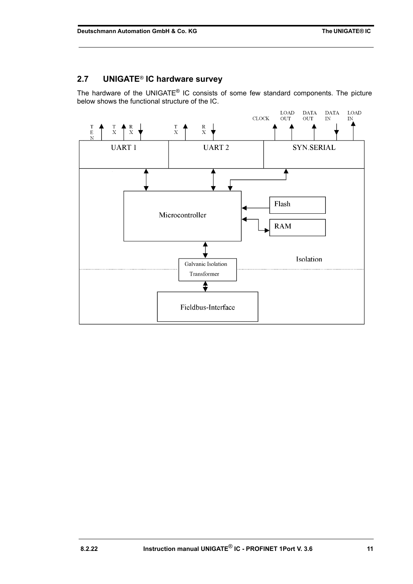## <span id="page-10-0"></span>**2.7 UNIGATE**® **IC hardware survey**

The hardware of the UNIGATE® IC consists of some few standard components. The picture below shows the functional structure of the IC.

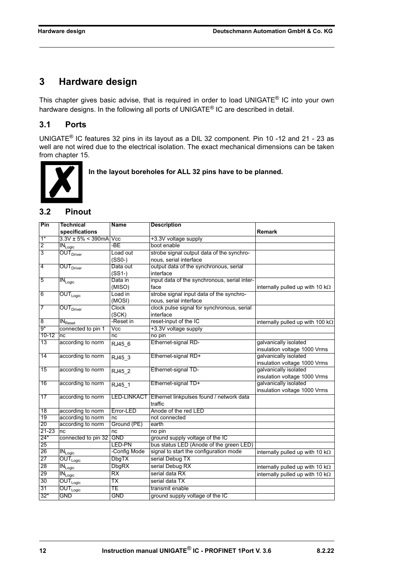# <span id="page-11-0"></span>**3 Hardware design**

This chapter gives basic advise, that is required in order to load UNIGATE® IC into your own hardware designs. In the following all ports of UNIGATE<sup>®</sup> IC are described in detail.

## <span id="page-11-1"></span>**3.1 Ports**

UNIGATE® IC features 32 pins in its layout as a DIL 32 component. Pin 10 -12 and 21 - 23 as well are not wired due to the electrical isolation. The exact mechanical dimensions can be taken from [chapter 15.](#page-40-0)



 **In the layout boreholes for ALL 32 pins have to be planned.**

## <span id="page-11-2"></span>**3.2 Pinout**

| Pin            | <b>Technical</b>                           | <b>Name</b>             | <b>Description</b>                                   |                                          |
|----------------|--------------------------------------------|-------------------------|------------------------------------------------------|------------------------------------------|
|                | specifications                             |                         |                                                      | Remark                                   |
| $1*$           | $3.3V \pm 5\% \leq 390$ mA $Vcc$           |                         | +3.3V voltage supply                                 |                                          |
| $\overline{2}$ | $IN_{Logic}$                               | -BE                     | boot enable                                          |                                          |
| 3              | OUT <sub>Driver</sub>                      | Load out                | strobe signal output data of the synchro-            |                                          |
|                |                                            | $(SSO-)$                | nous, serial interface                               |                                          |
| 4              | OUT <sub>Driver</sub>                      | Data out                | output data of the synchronous, serial               |                                          |
|                |                                            | $(SS1-)$                | interface                                            |                                          |
| 5              | $\overline{\text{IN}_{\text{Logic}}}$      | Data in                 | input data of the synchronous, serial inter-         |                                          |
|                |                                            | (MISO)                  | face                                                 | internally pulled up with 10 k $\Omega$  |
| 6              | $\overline{\mathsf{OUT}_{\mathsf{Logic}}}$ | Load in                 | strobe signal input data of the synchro-             |                                          |
|                |                                            | (MOSI)                  | nous, serial interface                               |                                          |
| 7              | <b>OUT</b> Driver                          | Clock                   | clock pulse signal for synchronous, serial           |                                          |
|                |                                            | (SCK)                   | interface                                            |                                          |
| 8              | IN <sub>Rest</sub>                         | -Reset in               | reset-input of the IC                                | internally pulled up with 100 k $\Omega$ |
| $9*$           | connected to pin 1                         | $\overline{\text{Vcc}}$ | +3.3V voltage supply                                 |                                          |
| $10 - 12$      | nc                                         | nc                      | no pin                                               |                                          |
| 13             | according to norm                          | RJ45_6                  | Ethernet-signal RD-                                  | galvanically isolated                    |
|                |                                            |                         |                                                      | insulation voltage 1000 Vrms             |
| 14             | according to norm                          | RJ45 3                  | Ethernet-signal RD+                                  | galvanically isolated                    |
|                |                                            |                         |                                                      | insulation voltage 1000 Vrms             |
| 15             | according to norm                          | RJ45 2                  | Ethernet-signal TD-                                  | galvanically isolated                    |
|                |                                            |                         |                                                      | insulation voltage 1000 Vrms             |
| 16             | according to norm                          | RJ45 1                  | Ethernet-signal TD+                                  | galvanically isolated                    |
|                |                                            |                         |                                                      | insulation voltage 1000 Vrms             |
| 17             | according to norm                          |                         | LED-LINKACT Ethernet linkpulses found / network data |                                          |
|                |                                            |                         | traffic                                              |                                          |
| 18             | according to norm                          | Error-LED               | Anode of the red LED                                 |                                          |
| 19             | according to norm                          | nc                      | not connected                                        |                                          |
| 20             | according to norm                          | Ground (PE)             | earth                                                |                                          |
| 21-23          | nc                                         | nc                      | no pin                                               |                                          |
| $24*$          | connected to pin 32 GND                    |                         | ground supply voltage of the IC                      |                                          |
| 25             |                                            | LED-PN                  | bus status LED (Anode of the green LED)              |                                          |
| 26             | $\overline{\text{IN}}_{\text{Logic}}$      | -Config Mode            | signal to start the configuration mode               | internally pulled up with 10 $k\Omega$   |
| 27             | $\overline{\mathsf{OUT}_{\mathsf{Logic}}}$ | <b>DbgTX</b>            | serial Debug TX                                      |                                          |
| 28             | $\overline{\textsf{IN}_{\textsf{Logic}}}$  | <b>DbgRX</b>            | serial Debug RX                                      | internally pulled up with 10 $k\Omega$   |
| 29             | $IN_{Logic}$                               | RX                      | serial data RX                                       | internally pulled up with 10 $k\Omega$   |
| 30             | $OUT_{Logic}$                              | ТX                      | serial data TX                                       |                                          |
| 31             | $\overline{\mathsf{OUT}_{\mathsf{Logic}}}$ | ТE                      | transmit enable                                      |                                          |
| $32*$          | <b>GND</b>                                 | <b>GND</b>              | ground supply voltage of the IC                      |                                          |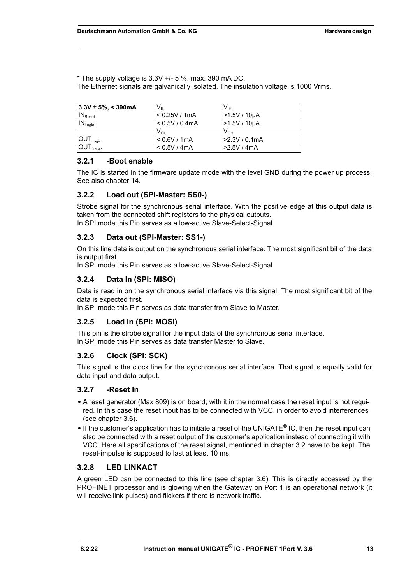$*$  The supply voltage is 3.3V  $+/-$  5 %, max. 390 mA DC.

The Ethernet signals are galvanically isolated. The insulation voltage is 1000 Vrms.

| $ 3.3V \pm 5\%  < 390 \text{mA}$        | $V_{\parallel}$            | $V_{\text{IH}}$ |
|-----------------------------------------|----------------------------|-----------------|
| IN <sub>Rest</sub>                      | < 0.25V / 1mA              | $>1.5V/10\mu A$ |
| $IN_{Logic}$                            | < 0.5V / 0.4mA             | -1.5V / 10µA    |
|                                         | $\mathsf{v}_{\mathsf{ol}}$ | $V_{OH}$        |
| $\overline{\text{OUT}}_{\text{Logic}}$  | < 0.6V / 1mA               | -2.3V / 0.1mA   |
| $\overline{\text{OUT}}_{\text{Driver}}$ | < 0.5V / 4mA               | >2.5V/4mA       |

#### <span id="page-12-0"></span>**3.2.1 -Boot enable**

The IC is started in the firmware update mode with the level GND during the power up process. See also [chapter 14](#page-39-0).

#### <span id="page-12-1"></span>**3.2.2 Load out (SPI-Master: SS0-)**

Strobe signal for the synchronous serial interface. With the positive edge at this output data is taken from the connected shift registers to the physical outputs. In SPI mode this Pin serves as a low-active Slave-Select-Signal.

#### <span id="page-12-2"></span>**3.2.3 Data out (SPI-Master: SS1-)**

On this line data is output on the synchronous serial interface. The most significant bit of the data is output first.

In SPI mode this Pin serves as a low-active Slave-Select-Signal.

#### <span id="page-12-3"></span>**3.2.4 Data In (SPI: MISO)**

Data is read in on the synchronous serial interface via this signal. The most significant bit of the data is expected first.

In SPI mode this Pin serves as data transfer from Slave to Master.

### <span id="page-12-4"></span>**3.2.5 Load In (SPI: MOSI)**

This pin is the strobe signal for the input data of the synchronous serial interface. In SPI mode this Pin serves as data transfer Master to Slave.

### <span id="page-12-5"></span>**3.2.6 Clock (SPI: SCK)**

This signal is the clock line for the synchronous serial interface. That signal is equally valid for data input and data output.

#### <span id="page-12-6"></span>**3.2.7 -Reset In**

- **•** A reset generator (Max 809) is on board; with it in the normal case the reset input is not required. In this case the reset input has to be connected with VCC, in order to avoid interferences (see [chapter 3.6\)](#page-18-0).
- **•** If the customer's application has to initiate a reset of the UNIGATE® IC, then the reset input can also be connected with a reset output of the customer's application instead of connecting it with VCC. Here all specifications of the reset signal, mentioned in [chapter 3.2](#page-11-2) have to be kept. The reset-impulse is supposed to last at least 10 ms.

#### <span id="page-12-7"></span>**3.2.8 LED LINKACT**

A green LED can be connected to this line (see [chapter 3.6](#page-18-0)). This is directly accessed by the PROFINET processor and is glowing when the Gateway on Port 1 is an operational network (it will receive link pulses) and flickers if there is network traffic.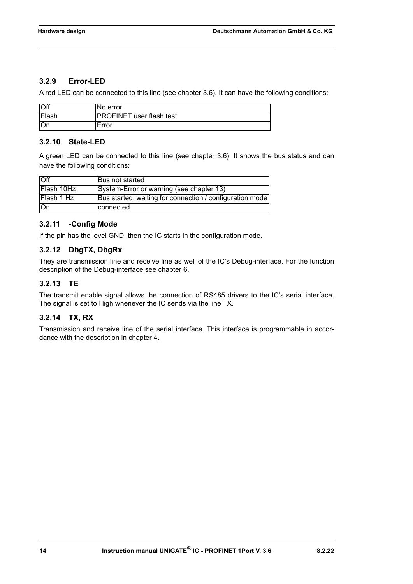### <span id="page-13-0"></span>**3.2.9 Error-LED**

A red LED can be connected to this line (see chapter 3.6). It can have the following conditions:

| Off   | No error                        |
|-------|---------------------------------|
| Flash | <b>PROFINET</b> user flash test |
| 10r   | Error                           |

### <span id="page-13-1"></span>**3.2.10 State-LED**

A green LED can be connected to this line (see chapter 3.6). It shows the bus status and can have the following conditions:

| $\overline{O}$ ff | Bus not started                                          |
|-------------------|----------------------------------------------------------|
| Flash 10Hz        | System-Error or warning (see chapter 13)                 |
| <b>Flash 1 Hz</b> | Bus started, waiting for connection / configuration mode |
| <b>On</b>         | connected                                                |

### <span id="page-13-2"></span>**3.2.11 -Config Mode**

If the pin has the level GND, then the IC starts in the configuration mode.

### <span id="page-13-3"></span>**3.2.12 DbgTX, DbgRx**

They are transmission line and receive line as well of the IC's Debug-interface. For the function description of the Debug-interface see [chapter 6](#page-25-0).

### <span id="page-13-4"></span>**3.2.13 TE**

The transmit enable signal allows the connection of RS485 drivers to the IC's serial interface. The signal is set to High whenever the IC sends via the line TX.

### <span id="page-13-5"></span>**3.2.14 TX, RX**

Transmission and receive line of the serial interface. This interface is programmable in accordance with the description in [chapter 4](#page-22-0).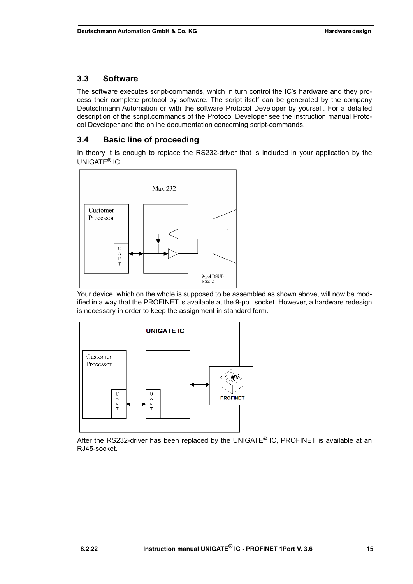## <span id="page-14-0"></span>**3.3 Software**

The software executes script-commands, which in turn control the IC's hardware and they process their complete protocol by software. The script itself can be generated by the company Deutschmann Automation or with the software Protocol Developer by yourself. For a detailed description of the script.commands of the Protocol Developer see the instruction manual Protocol Developer and the online documentation concerning script-commands.

## <span id="page-14-1"></span>**3.4 Basic line of proceeding**

In theory it is enough to replace the RS232-driver that is included in your application by the UNIGATE® IC.



Your device, which on the whole is supposed to be assembled as shown above, will now be modified in a way that the PROFINET is available at the 9-pol. socket. However, a hardware redesign is necessary in order to keep the assignment in standard form.



After the RS232-driver has been replaced by the UNIGATE® IC, PROFINET is available at an RJ45-socket.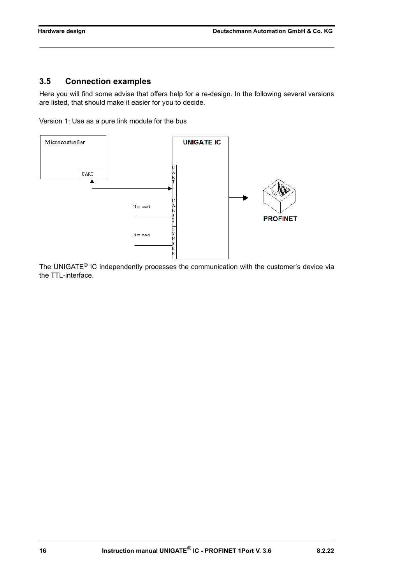## <span id="page-15-0"></span>**3.5 Connection examples**

Here you will find some advise that offers help for a re-design. In the following several versions are listed, that should make it easier for you to decide.

Version 1: Use as a pure link module for the bus



The UNIGATE® IC independently processes the communication with the customer's device via the TTL-interface.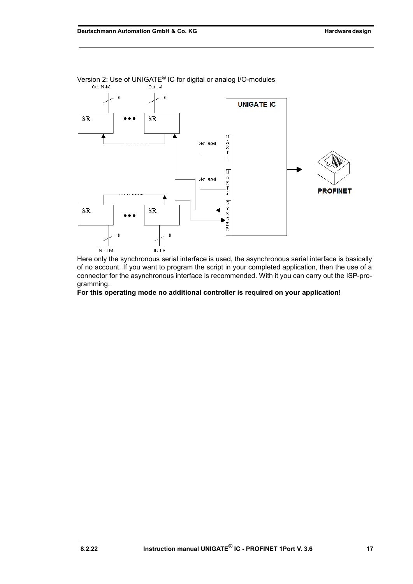

Version 2: Use of UNIGATE® IC for digital or analog I/O-modules

Here only the synchronous serial interface is used, the asynchronous serial interface is basically of no account. If you want to program the script in your completed application, then the use of a connector for the asynchronous interface is recommended. With it you can carry out the ISP-programming.

**For this operating mode no additional controller is required on your application!**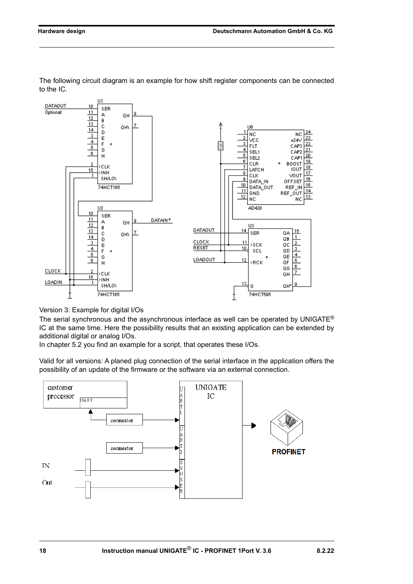

The following circuit diagram is an example for how shift register components can be connected to the IC.

Version 3: Example for digital I/Os

The serial synchronous and the asynchronous interface as well can be operated by UNIGATE<sup>®</sup> IC at the same time. Here the possibility results that an existing application can be extended by additional digital or analog I/Os.

In chapter 5.2 you find an example for a script, that operates these I/Os.

Valid for all versions: A planed plug connection of the serial interface in the application offers the possibility of an update of the firmware or the software via an external connection.

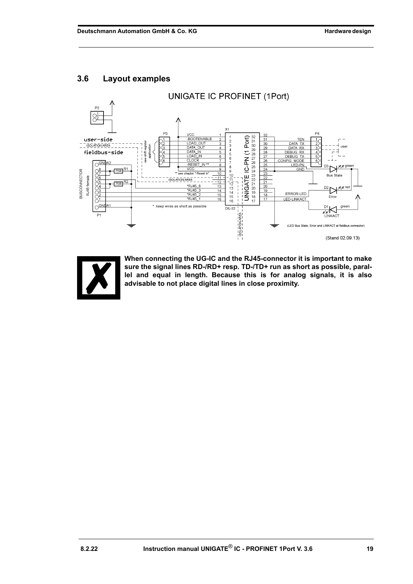## <span id="page-18-0"></span>**3.6 Layout examples**





**When connecting the UG-IC and the RJ45-connector it is important to make sure the signal lines RD-/RD+ resp. TD-/TD+ run as short as possible, parallel and equal in length. Because this is for analog signals, it is also advisable to not place digital lines in close proximity.**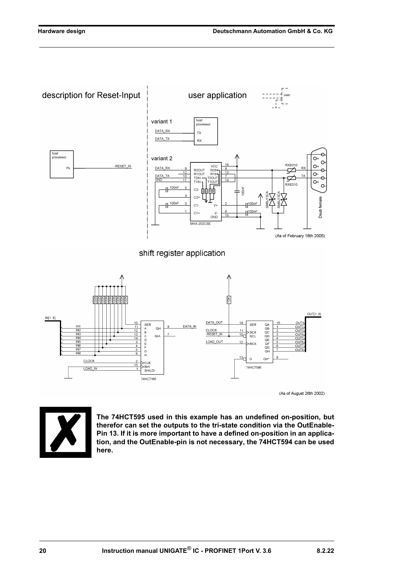

 $2000000000$ A<br>
B<br>
C<br>
D<br>
E<br>
F  $\frac{1}{N}$  $\frac{G}{H}$ **INF**  $\frac{13}{2}$ G  $QH^*$ CLOCK **CLK** 74HCT595 NH<br>SH/LD\ LOAD\_IN 74HCT165

(As of August 26th 2002)



**The 74HCT595 used in this example has an undefined on-position, but therefor can set the outputs to the tri-state condition via the OutEnable-Pin 13. If it is more important to have a defined on-position in an application, and the OutEnable-pin is not necessary, the 74HCT594 can be used here.**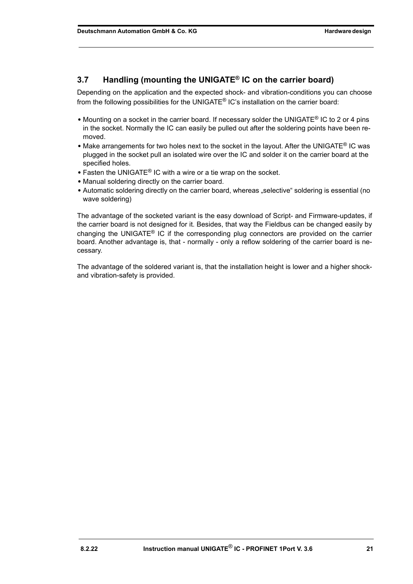## <span id="page-20-0"></span>**3.7 Handling (mounting the UNIGATE® IC on the carrier board)**

Depending on the application and the expected shock- and vibration-conditions you can choose from the following possibilities for the UNIGATE® IC's installation on the carrier board:

- **•** Mounting on a socket in the carrier board. If necessary solder the UNIGATE® IC to 2 or 4 pins in the socket. Normally the IC can easily be pulled out after the soldering points have been removed.
- Make arrangements for two holes next to the socket in the layout. After the UNIGATE<sup>®</sup> IC was plugged in the socket pull an isolated wire over the IC and solder it on the carrier board at the specified holes.
- **•** Fasten the UNIGATE® IC with a wire or a tie wrap on the socket.
- **•** Manual soldering directly on the carrier board.
- Automatic soldering directly on the carrier board, whereas "selective" soldering is essential (no wave soldering)

The advantage of the socketed variant is the easy download of Script- and Firmware-updates, if the carrier board is not designed for it. Besides, that way the Fieldbus can be changed easily by changing the UNIGATE<sup>®</sup> IC if the corresponding plug connectors are provided on the carrier board. Another advantage is, that - normally - only a reflow soldering of the carrier board is necessary.

The advantage of the soldered variant is, that the installation height is lower and a higher shockand vibration-safety is provided.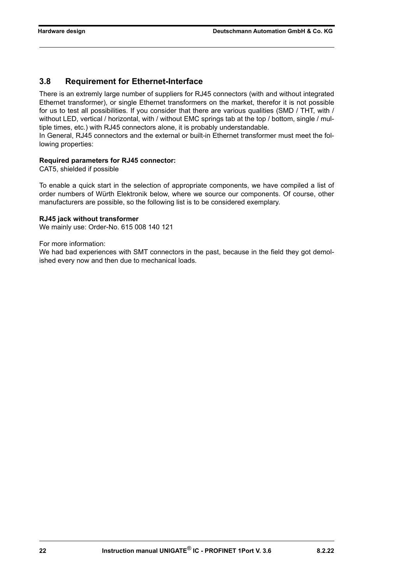### <span id="page-21-0"></span>**3.8 Requirement for Ethernet-Interface**

There is an extremly large number of suppliers for RJ45 connectors (with and without integrated Ethernet transformer), or single Ethernet transformers on the market, therefor it is not possible for us to test all possibilities. If you consider that there are various qualities (SMD / THT, with / without LED, vertical / horizontal, with / without EMC springs tab at the top / bottom, single / multiple times, etc.) with RJ45 connectors alone, it is probably understandable.

In General, RJ45 connectors and the external or built-in Ethernet transformer must meet the following properties:

#### **Required parameters for RJ45 connector:**

CAT5, shielded if possible

To enable a quick start in the selection of appropriate components, we have compiled a list of order numbers of Würth Elektronik below, where we source our components. Of course, other manufacturers are possible, so the following list is to be considered exemplary.

#### **[RJ45 jack without transformer](http://katalog-live.we-online.de/en/em/615_008_140_121?article=615008140121&sp=&sp=http%3A%2F%2Fwww.we-online.de%2Fweb%2Fen%2Fpassive_bauelemente_standard%2Fsearchpage_PBS.php%3Fsearch%3D615008140121)**

We mainly use: Order-No. 615 008 140 121

For more information:

We had bad experiences with SMT connectors in the past, because in the field they got demolished every now and then due to mechanical loads.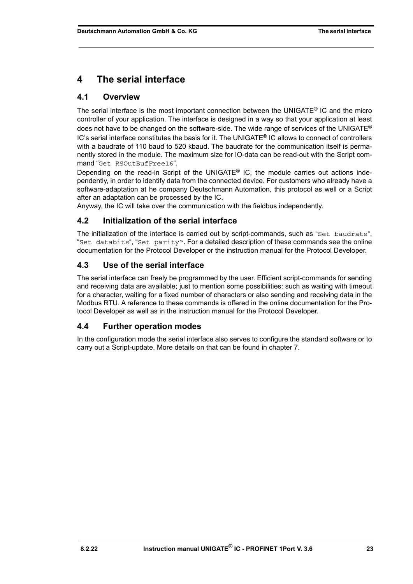# <span id="page-22-0"></span>**4 The serial interface**

## <span id="page-22-1"></span>**4.1 Overview**

The serial interface is the most important connection between the UNIGATE<sup>®</sup> IC and the micro controller of your application. The interface is designed in a way so that your application at least does not have to be changed on the software-side. The wide range of services of the UNIGATE<sup>®</sup>  $IC$ 's serial interface constitutes the basis for it. The UNIGATE<sup>®</sup> IC allows to connect of controllers with a baudrate of 110 baud to 520 kbaud. The baudrate for the communication itself is permanently stored in the module. The maximum size for IO-data can be read-out with the Script command "Get RSOutBufFree16".

Depending on the read-in Script of the UNIGATE<sup>®</sup> IC, the module carries out actions independently, in order to identify data from the connected device. For customers who already have a software-adaptation at he company Deutschmann Automation, this protocol as well or a Script after an adaptation can be processed by the IC.

Anyway, the IC will take over the communication with the fieldbus independently.

## <span id="page-22-2"></span>**4.2 Initialization of the serial interface**

The initialization of the interface is carried out by script-commands, such as "Set baudrate", "Set databits", "Set parity". For a detailed description of these commands see the online documentation for the Protocol Developer or the instruction manual for the Protocol Developer.

## <span id="page-22-3"></span>**4.3 Use of the serial interface**

The serial interface can freely be programmed by the user. Efficient script-commands for sending and receiving data are available; just to mention some possibilities: such as waiting with timeout for a character, waiting for a fixed number of characters or also sending and receiving data in the Modbus RTU. A reference to these commands is offered in the online documentation for the Protocol Developer as well as in the instruction manual for the Protocol Developer.

## <span id="page-22-4"></span>**4.4 Further operation modes**

In the configuration mode the serial interface also serves to configure the standard software or to carry out a Script-update. More details on that can be found in [chapter 7.](#page-26-0)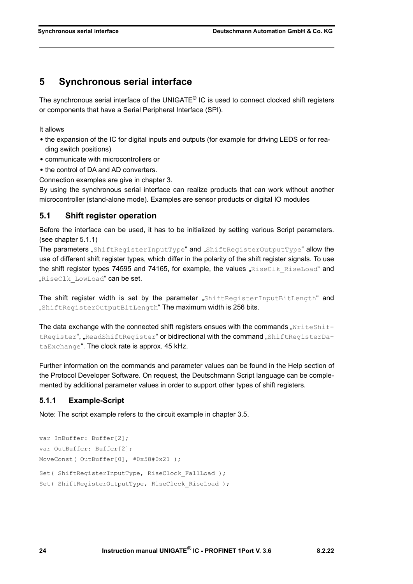## <span id="page-23-0"></span>**5 Synchronous serial interface**

The synchronous serial interface of the UNIGATE® IC is used to connect clocked shift registers or components that have a Serial Peripheral Interface (SPI).

It allows

- **•** the expansion of the IC for digital inputs and outputs (for example for driving LEDS or for reading switch positions)
- **•** communicate with microcontrollers or
- **•** the control of DA and AD converters.

Connection examples are give in [chapter 3](#page-11-0).

By using the synchronous serial interface can realize products that can work without another microcontroller (stand-alone mode). Examples are sensor products or digital IO modules

### <span id="page-23-1"></span>**5.1 Shift register operation**

Before the interface can be used, it has to be initialized by setting various Script parameters. (see [chapter 5.1.1](#page-23-2))

The parameters "ShiftRegisterInputType" and "ShiftRegisterOutputType" allow the use of different shift register types, which differ in the polarity of the shift register signals. To use the shift register types 74595 and 74165, for example, the values " $RiseClk$   $RiseLoad"$  and "RiseClk LowLoad" can be set.

The shift register width is set by the parameter "ShiftRegisterInputBitLength" and "ShiftRegisterOutputBitLength" The maximum width is 256 bits.

The data exchange with the connected shift registers ensues with the commands " $WriteShift$ tRegister", "ReadShiftRegister" or bidirectional with the command "ShiftRegisterDataExchange". The clock rate is approx. 45 kHz.

Further information on the commands and parameter values can be found in the Help section of the Protocol Developer Software. On request, the Deutschmann Script language can be complemented by additional parameter values in order to support other types of shift registers.

### <span id="page-23-2"></span>**5.1.1 Example-Script**

Note: The script example refers to the circuit example in [chapter 3.5](#page-15-0).

```
var InBuffer: Buffer[2];
var OutBuffer: Buffer[2];
MoveConst( OutBuffer[0], #0x58#0x21 );
Set( ShiftRegisterInputType, RiseClock FallLoad );
Set( ShiftRegisterOutputType, RiseClock RiseLoad );
```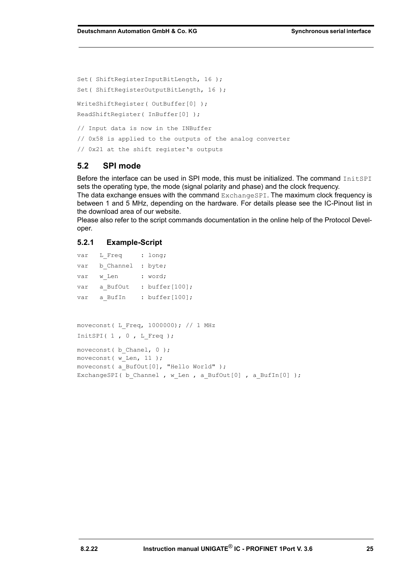Set( ShiftRegisterInputBitLength, 16 ); Set( ShiftRegisterOutputBitLength, 16 ); WriteShiftRegister( OutBuffer[0] ); ReadShiftRegister( InBuffer[0] ); // Input data is now in the INBuffer // 0x58 is applied to the outputs of the analog converter // 0x21 at the shift register's outputs

#### <span id="page-24-0"></span>**5.2 SPI mode**

Before the interface can be used in SPI mode, this must be initialized. The command InitSPI sets the operating type, the mode (signal polarity and phase) and the clock frequency.

The data exchange ensues with the command ExchangeSPI. The maximum clock frequency is between 1 and 5 MHz, depending on the hardware. For details please see the IC-Pinout list in the download area of our website.

Please also refer to the script commands documentation in the online help of the Protocol Developer.

#### <span id="page-24-1"></span>**5.2.1 Example-Script**

|                                         | var L Freq : long;                                          |  |                                               |
|-----------------------------------------|-------------------------------------------------------------|--|-----------------------------------------------|
|                                         | var b Channel : byte;                                       |  |                                               |
|                                         | var w Len : word;                                           |  |                                               |
|                                         |                                                             |  | var a BufOut : buffer[100];                   |
|                                         |                                                             |  | var a BufIn : buffer[100];                    |
|                                         |                                                             |  |                                               |
|                                         |                                                             |  |                                               |
| moveconst (L Freq, 1000000); $// 1 MHz$ |                                                             |  |                                               |
| InitSPI $(1, 0, L$ Freq);               |                                                             |  |                                               |
|                                         |                                                             |  |                                               |
| moveconst (b Chanel, $0$ );             |                                                             |  |                                               |
| moveconst ( $w$ Len, 11);               |                                                             |  |                                               |
|                                         |                                                             |  | moveconst ( a BufOut $[0]$ , "Hello World" ); |
|                                         | ExchangeSPI (b Channel, w Len, a BufOut [0], a BufIn [0] ); |  |                                               |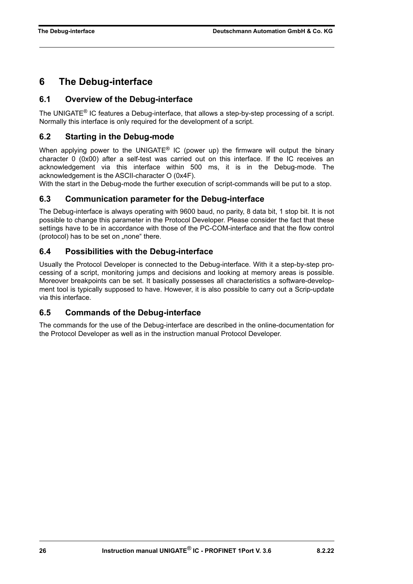## <span id="page-25-0"></span>**6 The Debug-interface**

### <span id="page-25-1"></span>**6.1 Overview of the Debug-interface**

The UNIGATE® IC features a Debug-interface, that allows a step-by-step processing of a script. Normally this interface is only required for the development of a script.

### <span id="page-25-2"></span>**6.2 Starting in the Debug-mode**

When applying power to the UNIGATE<sup>®</sup> IC (power up) the firmware will output the binary character 0 (0x00) after a self-test was carried out on this interface. If the IC receives an acknowledgement via this interface within 500 ms, it is in the Debug-mode. The acknowledgement is the ASCII-character O (0x4F).

With the start in the Debug-mode the further execution of script-commands will be put to a stop.

### <span id="page-25-3"></span>**6.3 Communication parameter for the Debug-interface**

The Debug-interface is always operating with 9600 baud, no parity, 8 data bit, 1 stop bit. It is not possible to change this parameter in the Protocol Developer. Please consider the fact that these settings have to be in accordance with those of the PC-COM-interface and that the flow control (protocol) has to be set on "none" there.

### <span id="page-25-4"></span>**6.4 Possibilities with the Debug-interface**

Usually the Protocol Developer is connected to the Debug-interface. With it a step-by-step processing of a script, monitoring jumps and decisions and looking at memory areas is possible. Moreover breakpoints can be set. It basically possesses all characteristics a software-development tool is typically supposed to have. However, it is also possible to carry out a Scrip-update via this interface.

### <span id="page-25-5"></span>**6.5 Commands of the Debug-interface**

The commands for the use of the Debug-interface are described in the online-documentation for the Protocol Developer as well as in the instruction manual Protocol Developer.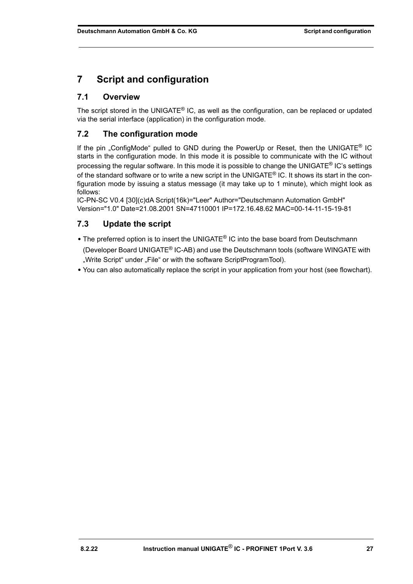# <span id="page-26-0"></span>**7 Script and configuration**

## <span id="page-26-1"></span>**7.1 Overview**

The script stored in the UNIGATE® IC, as well as the configuration, can be replaced or updated via the serial interface (application) in the configuration mode.

## <span id="page-26-2"></span>**7.2 The configuration mode**

If the pin . ConfigMode" pulled to GND during the PowerUp or Reset, then the UNIGATE<sup>®</sup> IC starts in the configuration mode. In this mode it is possible to communicate with the IC without processing the regular software. In this mode it is possible to change the UNIGATE® IC's settings of the standard software or to write a new script in the UNIGATE<sup>®</sup> IC. It shows its start in the configuration mode by issuing a status message (it may take up to 1 minute), which might look as follows:

IC-PN-SC V0.4 [30](c)dA Script(16k)="Leer" Author="Deutschmann Automation GmbH" Version="1.0" Date=21.08.2001 SN=47110001 IP=172.16.48.62 MAC=00-14-11-15-19-81

## <span id="page-26-3"></span>**7.3 Update the script**

- **•** The preferred option is to insert the UNIGATE® IC into the base board from Deutschmann (Developer Board UNIGATE® IC-AB) and use the Deutschmann tools (software WINGATE with "Write Script" under "File" or with the software ScriptProgramTool).
- **•** You can also automatically replace the script in your application from your host (see flowchart).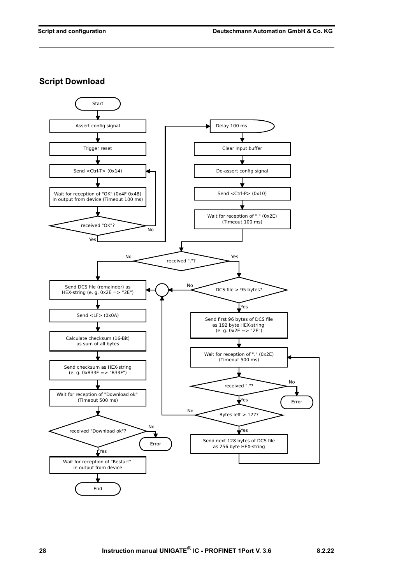**Script Download**

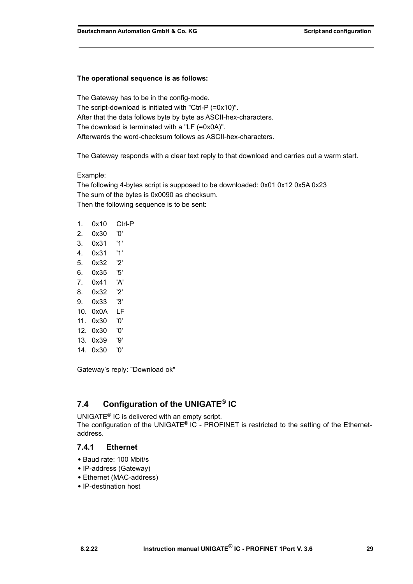#### **The operational sequence is as follows:**

The Gateway has to be in the config-mode. The script-download is initiated with "Ctrl-P (=0x10)". After that the data follows byte by byte as ASCII-hex-characters. The download is terminated with a "LF (=0x0A)". Afterwards the word-checksum follows as ASCII-hex-characters.

The Gateway responds with a clear text reply to that download and carries out a warm start.

#### Example:

The following 4-bytes script is supposed to be downloaded: 0x01 0x12 0x5A 0x23 The sum of the bytes is 0x0090 as checksum. Then the following sequence is to be sent:

| 1.  | 0x10     | Ctrl-P |
|-----|----------|--------|
| 2.  | 0x30     | '0'    |
| 3.  | 0x31     | '1'    |
| 4.  | 0x31     | '1'    |
| 5.  | 0x32     | '2'    |
| 6.  | 0x35.    | '5'    |
| 7.  | 0x41     | 'A'    |
| 8.  | 0x32     | '2'    |
| 9.  | 0x33     | '3'    |
| 10. | 0x0A     | LF     |
| 11. | 0x30     | '0'    |
|     | 12. 0x30 | '0'    |
|     | 13. Ox39 | פי'    |
| 14. | 0x30     | '0'    |

Gateway's reply: "Download ok"

# <span id="page-28-0"></span>**7.4 Configuration of the UNIGATE® IC**

UNIGATE® IC is delivered with an empty script. The configuration of the UNIGATE<sup>®</sup> IC - PROFINET is restricted to the setting of the Ethernetaddress.

### <span id="page-28-1"></span>**7.4.1 Ethernet**

- **•** Baud rate: 100 Mbit/s
- **•** IP-address (Gateway)
- **•** Ethernet (MAC-address)
- **•** IP-destination host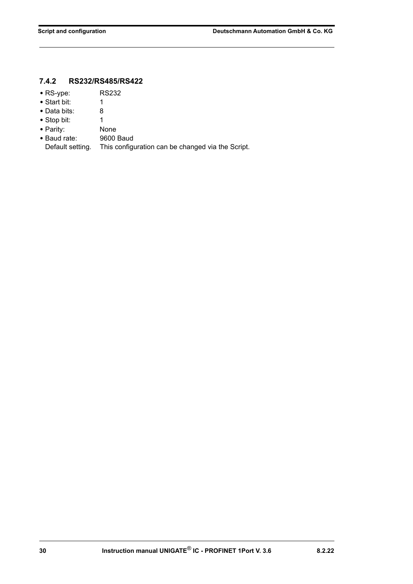## <span id="page-29-0"></span>**7.4.2 RS232/RS485/RS422**

- **•** RS-ype: RS232
- **•** Start bit: 1
- **•** Data bits: 8
- Stop bit: 1
- 
- **•** Parity: None • Baud rate:
- Default setting. This configuration can be changed via the Script.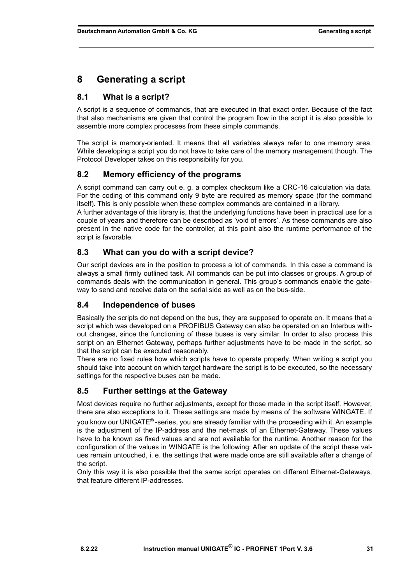# <span id="page-30-0"></span>**8 Generating a script**

## <span id="page-30-1"></span>**8.1 What is a script?**

A script is a sequence of commands, that are executed in that exact order. Because of the fact that also mechanisms are given that control the program flow in the script it is also possible to assemble more complex processes from these simple commands.

The script is memory-oriented. It means that all variables always refer to one memory area. While developing a script you do not have to take care of the memory management though. The Protocol Developer takes on this responsibility for you.

## <span id="page-30-2"></span>**8.2 Memory efficiency of the programs**

A script command can carry out e. g. a complex checksum like a CRC-16 calculation via data. For the coding of this command only 9 byte are required as memory space (for the command itself). This is only possible when these complex commands are contained in a library.

A further advantage of this library is, that the underlying functions have been in practical use for a couple of years and therefore can be described as 'void of errors'. As these commands are also present in the native code for the controller, at this point also the runtime performance of the script is favorable.

## <span id="page-30-3"></span>**8.3 What can you do with a script device?**

Our script devices are in the position to process a lot of commands. In this case a command is always a small firmly outlined task. All commands can be put into classes or groups. A group of commands deals with the communication in general. This group's commands enable the gateway to send and receive data on the serial side as well as on the bus-side.

## <span id="page-30-4"></span>**8.4 Independence of buses**

Basically the scripts do not depend on the bus, they are supposed to operate on. It means that a script which was developed on a PROFIBUS Gateway can also be operated on an Interbus without changes, since the functioning of these buses is very similar. In order to also process this script on an Ethernet Gateway, perhaps further adjustments have to be made in the script, so that the script can be executed reasonably.

There are no fixed rules how which scripts have to operate properly. When writing a script you should take into account on which target hardware the script is to be executed, so the necessary settings for the respective buses can be made.

## <span id="page-30-5"></span>**8.5 Further settings at the Gateway**

Most devices require no further adjustments, except for those made in the script itself. However, there are also exceptions to it. These settings are made by means of the software WINGATE. If you know our UNIGATE® -series, you are already familiar with the proceeding with it. An example is the adjustment of the IP-address and the net-mask of an Ethernet-Gateway. These values have to be known as fixed values and are not available for the runtime. Another reason for the configuration of the values in WINGATE is the following: After an update of the script these values remain untouched, i. e. the settings that were made once are still available after a change of the script.

Only this way it is also possible that the same script operates on different Ethernet-Gateways, that feature different IP-addresses.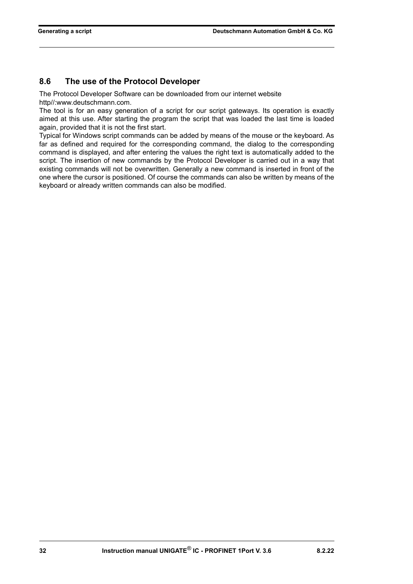## <span id="page-31-0"></span>**8.6 The use of the Protocol Developer**

The Protocol Developer Software can be downloaded from our internet website http//:www.deutschmann.com.

The tool is for an easy generation of a script for our script gateways. Its operation is exactly [aimed at this use. After starting the program the script that was loaded the last time is loaded](http://www.deutschmann.com) again, provided that it is not the first start.

Typical for Windows script commands can be added by means of the mouse or the keyboard. As far as defined and required for the corresponding command, the dialog to the corresponding command is displayed, and after entering the values the right text is automatically added to the script. The insertion of new commands by the Protocol Developer is carried out in a way that existing commands will not be overwritten. Generally a new command is inserted in front of the one where the cursor is positioned. Of course the commands can also be written by means of the keyboard or already written commands can also be modified.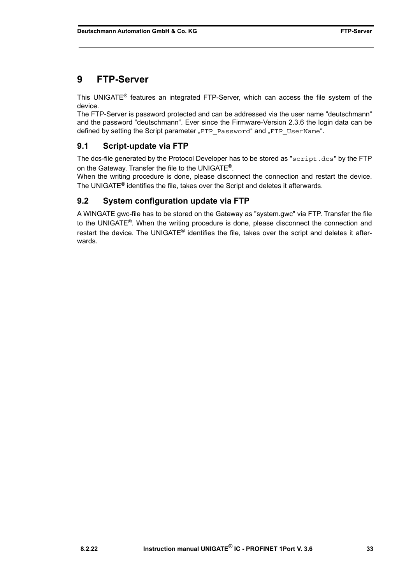# <span id="page-32-0"></span>**9 FTP-Server**

This UNIGATE® features an integrated FTP-Server, which can access the file system of the device.

The FTP-Server is password protected and can be addressed via the user name "deutschmann" and the password "deutschmann". Ever since the Firmware-Version 2.3.6 the login data can be defined by setting the Script parameter "FTP Password" and "FTP UserName".

## <span id="page-32-1"></span>**9.1 Script-update via FTP**

The dcs-file generated by the Protocol Developer has to be stored as "script.dcs" by the FTP on the Gateway. Transfer the file to the UNIGATE<sup>®</sup>.

When the writing procedure is done, please disconnect the connection and restart the device. The UNIGATE® identifies the file, takes over the Script and deletes it afterwards.

## <span id="page-32-2"></span>**9.2 System configuration update via FTP**

A WINGATE gwc-file has to be stored on the Gateway as "system.gwc" via FTP. Transfer the file to the UNIGATE<sup>®</sup>. When the writing procedure is done, please disconnect the connection and restart the device. The UNIGATE<sup>®</sup> identifies the file, takes over the script and deletes it afterwards.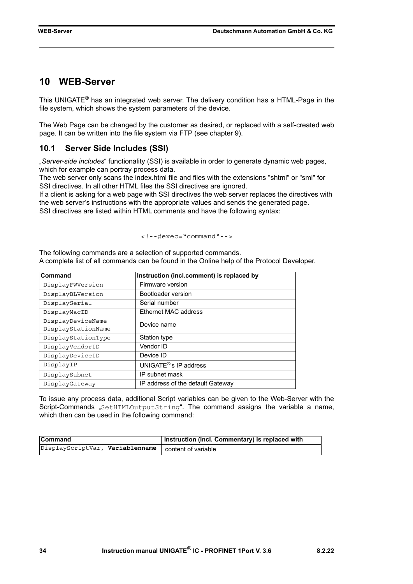## <span id="page-33-0"></span>**10 WEB-Server**

This UNIGATE® has an integrated web server. The delivery condition has a HTML-Page in the file system, which shows the system parameters of the device.

The Web Page can be changed by the customer as desired, or replaced with a self-created web page. It can be written into the file system via FTP (see [chapter 9](#page-32-0)).

### <span id="page-33-1"></span>**10.1 Server Side Includes (SSI)**

"*Server-side includes*" functionality (SSI) is available in order to generate dynamic web pages, which for example can portray process data.

The web server only scans the index.html file and files with the extensions "shtml" or "sml" for SSI directives. In all other HTML files the SSI directives are ignored.

If a client is asking for a web page with SSI directives the web server replaces the directives with the web server's instructions with the appropriate values and sends the generated page. SSI directives are listed within HTML comments and have the following syntax:

```
<!--#exec="command"-->
```
The following commands are a selection of supported commands. A complete list of all commands can be found in the Online help of the Protocol Developer.

| Command                                 | Instruction (incl.comment) is replaced by |
|-----------------------------------------|-------------------------------------------|
| DisplayFWVersion                        | Firmware version                          |
| DisplayBLVersion                        | Bootloader version                        |
| DisplaySerial                           | Serial number                             |
| DisplayMacID                            | Ethernet MAC address                      |
| DisplayDeviceName<br>DisplayStationName | Device name                               |
|                                         |                                           |
| DisplayStationType                      | Station type                              |
| DisplayVendorID                         | Vendor ID                                 |
| DisplayDeviceID                         | Device ID                                 |
| DisplayIP                               | UNIGATE <sup>®'</sup> s IP address        |
| DisplaySubnet                           | IP subnet mask                            |
| DisplayGateway                          | IP address of the default Gateway         |

To issue any process data, additional Script variables can be given to the Web-Server with the Script-Commands "SetHTMLOutputString". The command assigns the variable a name, which then can be used in the following command:

| <b>Command</b>                                        | Instruction (incl. Commentary) is replaced with |
|-------------------------------------------------------|-------------------------------------------------|
| DisplayScriptVar, Variablenname   content of variable |                                                 |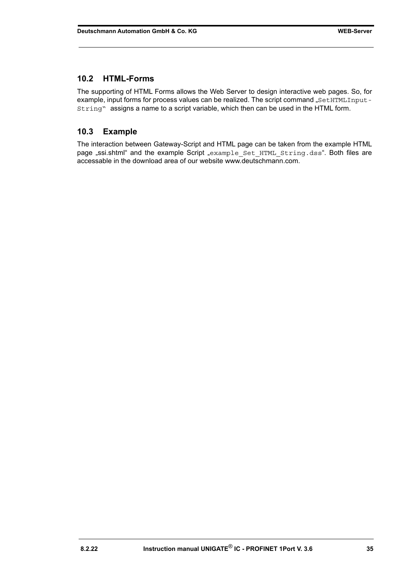### <span id="page-34-0"></span>**10.2 HTML-Forms**

The supporting of HTML Forms allows the Web Server to design interactive web pages. So, for example, input forms for process values can be realized. The script command "SetHTMLInput-String" assigns a name to a script variable, which then can be used in the HTML form.

### <span id="page-34-1"></span>**10.3 Example**

The interaction between Gateway-Script and HTML page can be taken from the example HTML page "ssi.shtml" and the example Script "example Set HTML String.dss". Both files are accessable in the download area of our website www.deutschmann.com.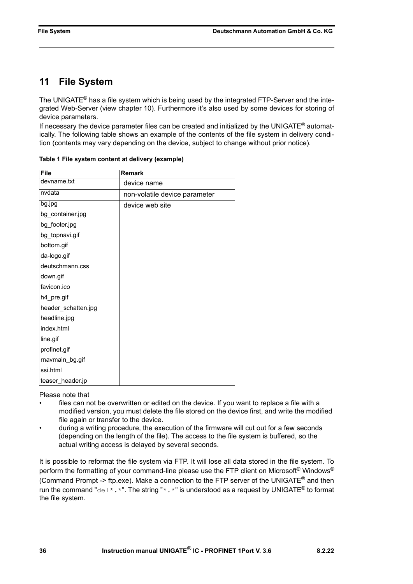# <span id="page-35-0"></span>**11 File System**

The UNIGATE<sup>®</sup> has a file system which is being used by the integrated FTP-Server and the integrated Web-Server (view chapter 10). Furthermore it's also used by some devices for storing of device parameters.

If necessary the device parameter files can be created and initialized by the UNIGATE<sup>®</sup> automatically. The following table shows an example of the contents of the file system in delivery condition (contents may vary depending on the device, subject to change without prior notice).

| <b>File</b>         | Remark                        |
|---------------------|-------------------------------|
| devname.txt         | device name                   |
| nvdata              | non-volatile device parameter |
| bg.jpg              | device web site               |
| bg_container.jpg    |                               |
| bg_footer.jpg       |                               |
| bg_topnavi.gif      |                               |
| bottom.gif          |                               |
| da-logo.gif         |                               |
| deutschmann.css     |                               |
| down.gif            |                               |
| favicon.ico         |                               |
| h4_pre.gif          |                               |
| header_schatten.jpg |                               |
| headline.jpg        |                               |
| index.html          |                               |
| line.gif            |                               |
| profinet.gif        |                               |
| rnavmain_bg.gif     |                               |
| ssi.html            |                               |
| teaser_header.jp    |                               |

**Table 1 File system content at delivery (example)**

Please note that

- files can not be overwritten or edited on the device. If you want to replace a file with a modified version, you must delete the file stored on the device first, and write the modified file again or transfer to the device.
- during a writing procedure, the execution of the firmware will cut out for a few seconds (depending on the length of the file). The access to the file system is buffered, so the actual writing access is delayed by several seconds.

It is possible to reformat the file system via FTP. It will lose all data stored in the file system. To perform the formatting of your command-line please use the FTP client on Microsoft<sup>®</sup> Windows<sup>®</sup> (Command Prompt -> ftp.exe). Make a connection to the FTP server of the UNIGATE<sup>®</sup> and then run the command "del\*.\*". The string "\*.\*" is understood as a request by UNIGATE<sup>®</sup> to format the file system.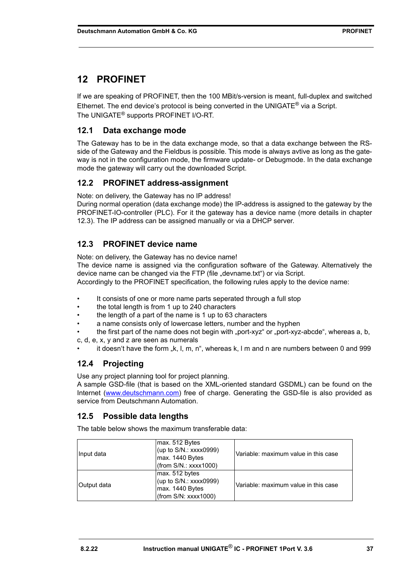# <span id="page-36-0"></span>**12 PROFINET**

If we are speaking of PROFINET, then the 100 MBit/s-version is meant, full-duplex and switched Ethernet. The end device's protocol is being converted in the UNIGATE® via a Script. The UNIGATE® supports PROFINET I/O-RT.

## <span id="page-36-1"></span>**12.1 Data exchange mode**

The Gateway has to be in the data exchange mode, so that a data exchange between the RSside of the Gateway and the Fieldbus is possible. This mode is always avtive as long as the gateway is not in the configuration mode, the firmware update- or Debugmode. In the data exchange mode the gateway will carry out the downloaded Script.

## <span id="page-36-2"></span>**12.2 PROFINET address-assignment**

Note: on delivery, the Gateway has no IP address!

During normal operation (data exchange mode) the IP-address is assigned to the gateway by the PROFINET-IO-controller (PLC). For it the gateway has a device name (more details in [chapter](#page-36-3) [12.3\)](#page-36-3). The IP address can be assigned manually or via a DHCP server.

## <span id="page-36-3"></span>**12.3 PROFINET device name**

Note: on delivery, the Gateway has no device name!

The device name is assigned via the configuration software of the Gateway. Alternatively the device name can be changed via the FTP (file "devname.txt") or via Script. Accordingly to the PROFINET specification, the following rules apply to the device name:

- It consists of one or more name parts seperated through a full stop
- the total length is from 1 up to 240 characters
- the length of a part of the name is 1 up to 63 characters
- a name consists only of lowercase letters, number and the hyphen
- the first part of the name does not begin with "port-xyz" or "port-xyz-abcde", whereas a, b,

c, d, e, x, y and z are seen as numerals

it doesn't have the form "k, l, m, n", whereas k, l m and n are numbers between 0 and 999

## <span id="page-36-4"></span>**12.4 Projecting**

Use any project planning tool for project planning.

A sample GSD-file (that is based on the XML-oriented standard GSDML) can be found on the Internet (www.deutschmann.com) free of charge. Generating the GSD-file is also provided as service from Deutschmann Automation.

### <span id="page-36-5"></span>**12.5 Possible data lengths**

The table below shows the maximum transferable data:

| Input data  | max. 512 Bytes<br>(up to S/N.: xxxx0999)<br>max. 1440 Bytes<br>(from S/N.: XXX1000) | Variable: maximum value in this case |
|-------------|-------------------------------------------------------------------------------------|--------------------------------------|
| Output data | max. 512 bytes<br>(up to S/N.: xxxx0999)<br>max. 1440 Bytes<br>(from S/N: XXX1000)  | Variable: maximum value in this case |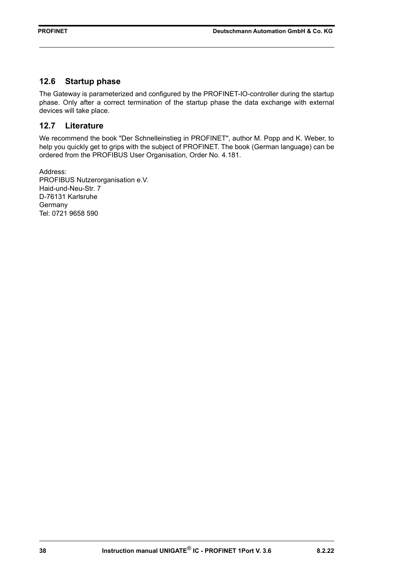### <span id="page-37-0"></span>**12.6 Startup phase**

The Gateway is parameterized and configured by the PROFINET-IO-controller during the startup phase. Only after a correct termination of the startup phase the data exchange with external devices will take place.

## <span id="page-37-1"></span>**12.7 Literature**

We recommend the book "Der Schnelleinstieg in PROFINET", author M. Popp and K. Weber, to help you quickly get to grips with the subject of PROFINET. The book (German language) can be ordered from the PROFIBUS User Organisation, Order No. 4.181.

Address: PROFIBUS Nutzerorganisation e.V. Haid-und-Neu-Str. 7 D-76131 Karlsruhe **Germany** Tel: 0721 9658 590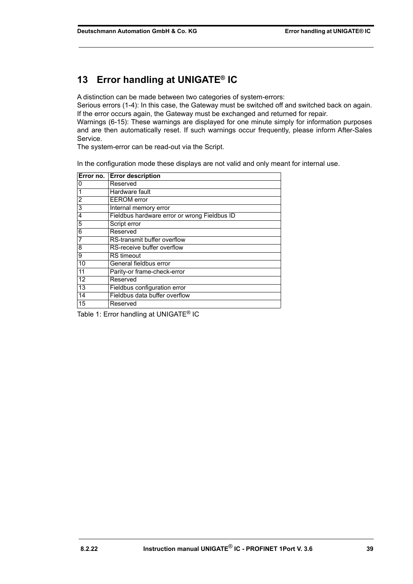# <span id="page-38-0"></span>**13 Error handling at UNIGATE® IC**

A distinction can be made between two categories of system-errors:

Serious errors (1-4): In this case, the Gateway must be switched off and switched back on again. If the error occurs again, the Gateway must be exchanged and returned for repair.

Warnings (6-15): These warnings are displayed for one minute simply for information purposes and are then automatically reset. If such warnings occur frequently, please inform After-Sales Service.

The system-error can be read-out via the Script.

In the configuration mode these displays are not valid and only meant for internal use.

|                | Error no. Error description                  |
|----------------|----------------------------------------------|
| 0              | Reserved                                     |
|                | Hardware fault                               |
| $\overline{2}$ | <b>EEROM</b> error                           |
| 3              | Internal memory error                        |
| 4              | Fieldbus hardware error or wrong Fieldbus ID |
| 5              | Script error                                 |
| 6              | Reserved                                     |
|                | RS-transmit buffer overflow                  |
| 8              | RS-receive buffer overflow                   |
| 9              | <b>RS</b> timeout                            |
| 10             | General fieldbus error                       |
| 11             | Parity-or frame-check-error                  |
| 12             | Reserved                                     |
| 13             | Fieldbus configuration error                 |
| 14             | Fieldbus data buffer overflow                |
| 15             | Reserved                                     |

Table 1: Error handling at UNIGATE<sup>®</sup> IC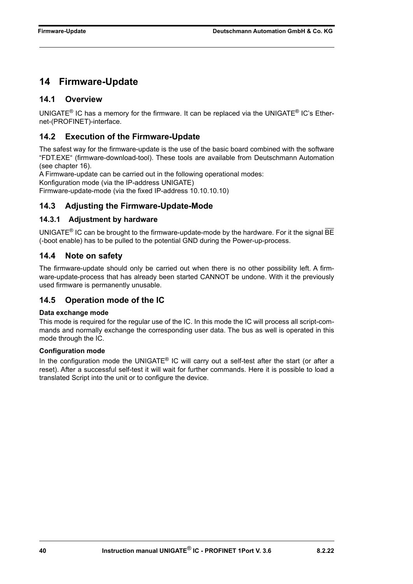# <span id="page-39-0"></span>**14 Firmware-Update**

## <span id="page-39-1"></span>**14.1 Overview**

UNIGATE<sup>®</sup> IC has a memory for the firmware. It can be replaced via the UNIGATE<sup>®</sup> IC's Ethernet-(PROFINET)-interface.

## <span id="page-39-2"></span>**14.2 Execution of the Firmware-Update**

The safest way for the firmware-update is the use of the basic board combined with the software "FDT.EXE" (firmware-download-tool). These tools are available from Deutschmann Automation (see [chapter 16](#page-43-0)).

A Firmware-update can be carried out in the following operational modes:

Konfiguration mode (via the IP-address UNIGATE)

Firmware-update-mode (via the fixed IP-address 10.10.10.10)

## <span id="page-39-3"></span>**14.3 Adjusting the Firmware-Update-Mode**

### <span id="page-39-4"></span>**14.3.1 Adjustment by hardware**

UNIGATE<sup>®</sup> IC can be brought to the firmware-update-mode by the hardware. For it the signal  $\overline{BE}$ (-boot enable) has to be pulled to the potential GND during the Power-up-process.

## <span id="page-39-5"></span>**14.4 Note on safety**

The firmware-update should only be carried out when there is no other possibility left. A firmware-update-process that has already been started CANNOT be undone. With it the previously used firmware is permanently unusable.

## <span id="page-39-6"></span>**14.5 Operation mode of the IC**

### **Data exchange mode**

This mode is required for the regular use of the IC. In this mode the IC will process all script-commands and normally exchange the corresponding user data. The bus as well is operated in this mode through the IC.

### **Configuration mode**

In the configuration mode the UNIGATE® IC will carry out a self-test after the start (or after a reset). After a successful self-test it will wait for further commands. Here it is possible to load a translated Script into the unit or to configure the device.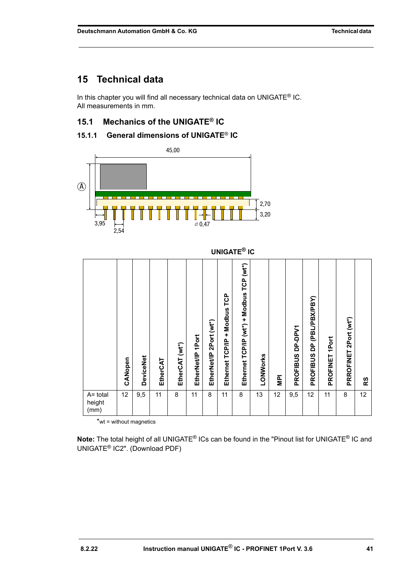# <span id="page-40-0"></span>**15 Technical data**

In this chapter you will find all necessary technical data on UNIGATE<sup>®</sup> IC. All measurements in mm.

## <span id="page-40-1"></span>**15.1 Mechanics of the UNIGATE® IC**

## <span id="page-40-2"></span>**15.1.1 General dimensions of UNIGATE**® **IC**



|                            |         |                  |          |                |                      |                            |                                    | <b>UNIGATE<sup>®</sup> IC</b>            |          |                |                            |                                                    |                |                       |    |
|----------------------------|---------|------------------|----------|----------------|----------------------|----------------------------|------------------------------------|------------------------------------------|----------|----------------|----------------------------|----------------------------------------------------|----------------|-----------------------|----|
|                            | CANopen | <b>DeviceNet</b> | EtherCAT | EtherCAT (wt*) | 1Port<br>EtherNet/IP | 2Port (wt*)<br>EtherNet/IP | TCP<br>+ Modbus<br>Ethernet TCP/IP | Ethernet TCP/IP (wt*) + Modbus TCP (wt*) | LONWorks | $\overline{P}$ | DP-DPV1<br><b>PROFIBUS</b> | (PBL/PBX/PBY)<br>$\overline{a}$<br><b>PROFIBUS</b> | PROFINET 1Port | PRROFINET 2Port (wt*) | RS |
| A= total<br>height<br>(mm) | 12      | 9,5              | 11       | 8              | 11                   | 8                          | 11                                 | 8                                        | 13       | 12             | 9,5                        | 12                                                 | 11             | 8                     | 12 |

\*wt = without magnetics

**Note:** The total height of all UNIGATE® ICs can be found in the "Pinout list for UNIGATE® IC and UNIGATE[® IC2". \(Download PDF\)](https://www.deutschmann.de/downloads//Support/Unigate-IC/UNIGATE%20IC%20and%20IC2%20device%20family%20pinout.pdf)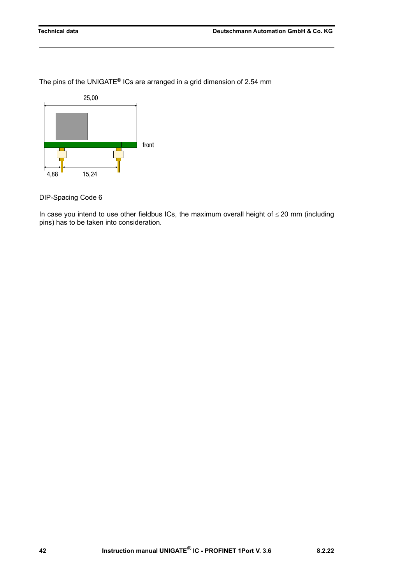The pins of the UNIGATE® ICs are arranged in a grid dimension of 2.54 mm



DIP-Spacing Code 6

In case you intend to use other fieldbus ICs, the maximum overall height of  $\leq$  20 mm (including pins) has to be taken into consideration.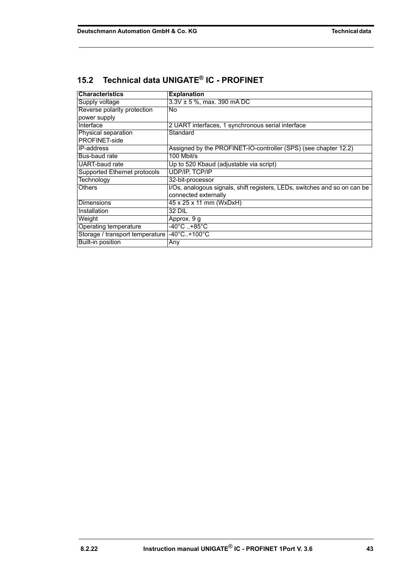| <b>Characteristics</b>          | <b>Explanation</b>                                                        |
|---------------------------------|---------------------------------------------------------------------------|
| Supply voltage                  | $3.3V \pm 5$ %, max. 390 mA DC                                            |
| Reverse polarity protection     | No                                                                        |
| power supply                    |                                                                           |
| Interface                       | 2 UART interfaces, 1 synchronous serial interface                         |
| Physical separation             | Standard                                                                  |
| PROFINET-side                   |                                                                           |
| <b>IP-address</b>               | Assigned by the PROFINET-IO-controller (SPS) (see chapter 12.2)           |
| Bus-baud rate                   | 100 Mbit/s                                                                |
| UART-baud rate                  | Up to 520 Kbaud (adjustable via script)                                   |
| Supported Ethernet protocols    | UDP/IP, TCP/IP                                                            |
| Technology                      | 32-bit-processor                                                          |
| <b>Others</b>                   | I/Os, analogous signals, shift registers, LEDs, switches and so on can be |
|                                 | connected externally                                                      |
| <b>Dimensions</b>               | 45 x 25 x 11 mm (WxDxH)                                                   |
| Installation                    | 32 DIL                                                                    |
| Weight                          | Approx. 9 g                                                               |
| Operating temperature           | $-40^{\circ}$ C+85 $^{\circ}$ C                                           |
| Storage / transport temperature | $-40^{\circ}$ C+100 $^{\circ}$ C                                          |
| Built-in position               | Any                                                                       |

## <span id="page-42-0"></span>**15.2 Technical data UNIGATE® IC - PROFINET**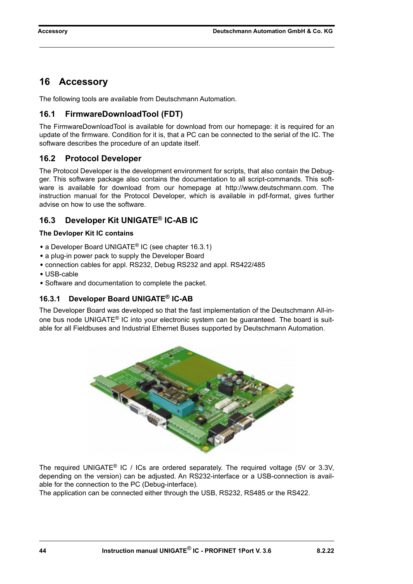## <span id="page-43-0"></span>**16 Accessory**

The following tools are available from Deutschmann Automation.

## <span id="page-43-1"></span>**16.1 FirmwareDownloadTool (FDT)**

The FirmwareDownloadTool is available for download from our homepage: it is required for an update of the firmware. Condition for it is, that a PC can be connected to the serial of the IC. The software describes the procedure of an update itself.

## <span id="page-43-2"></span>**16.2 Protocol Developer**

The Protocol Developer is the development environment for scripts, that also contain the Debugger. This software package also contains the documentation to all script-commands. This software is available for download from our homepage at http://www.deutschmann.com. The instruction manual for the Protocol Developer, which is available in pdf-format, gives further advise on how to use the software.

## <span id="page-43-3"></span>**16.3 Developer Kit UNIGATE® IC-AB IC**

#### **The Devloper Kit IC contains**

- **•** a Developer Board UNIGATE® IC (see [chapter 16.3.1\)](#page-43-4)
- **•** a plug-in power pack to supply the Developer Board
- **•** connection cables for appl. RS232, Debug RS232 and appl. RS422/485
- **•** USB-cable
- **•** Software and documentation to complete the packet.

## <span id="page-43-4"></span>**16.3.1 Developer Board UNIGATE® IC-AB**

The Developer Board was developed so that the fast implementation of the Deutschmann All-inone bus node UNIGATE® IC into your electronic system can be guaranteed. The board is suitable for all Fieldbuses and Industrial Ethernet Buses supported by Deutschmann Automation.



The required UNIGATE® IC / ICs are ordered separately. The required voltage (5V or 3.3V, depending on the version) can be adjusted. An RS232-interface or a USB-connection is available for the connection to the PC (Debug-interface).

The application can be connected either through the USB, RS232, RS485 or the RS422.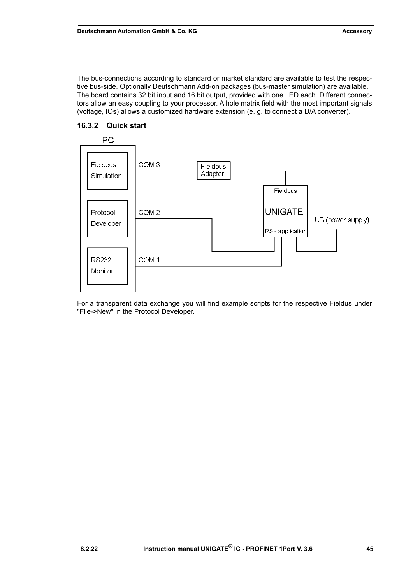The bus-connections according to standard or market standard are available to test the respective bus-side. Optionally Deutschmann Add-on packages (bus-master simulation) are available. The board contains 32 bit input and 16 bit output, provided with one LED each. Different connectors allow an easy coupling to your processor. A hole matrix field with the most important signals (voltage, IOs) allows a customized hardware extension (e. g. to connect a D/A converter).



### <span id="page-44-0"></span>**16.3.2 Quick start**

For a transparent data exchange you will find example scripts for the respective Fieldus under "File->New" in the Protocol Developer.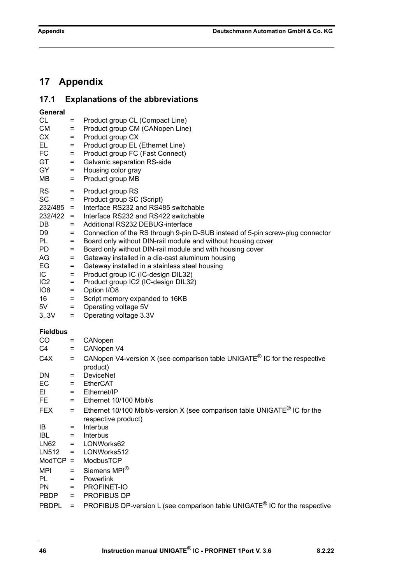# <span id="page-45-0"></span>**17 Appendix**

# <span id="page-45-1"></span>**17.1 Explanations of the abbreviations**

| CL<br><b>CM</b><br>CX<br>EL<br>FC<br>GT<br>GY<br>MВ                                                                                                          | $=$<br>$=$<br>$=$<br>$=$<br>$=$<br>$=$<br>$=$<br>$=$                                           | Product group CL (Compact Line)<br>Product group CM (CANopen Line)<br>Product group CX<br>Product group EL (Ethernet Line)<br>Product group FC (Fast Connect)<br>Galvanic separation RS-side<br>Housing color gray<br>Product group MB                                                                                                                                                                                                                                                                                                                                                                                                                                 |
|--------------------------------------------------------------------------------------------------------------------------------------------------------------|------------------------------------------------------------------------------------------------|------------------------------------------------------------------------------------------------------------------------------------------------------------------------------------------------------------------------------------------------------------------------------------------------------------------------------------------------------------------------------------------------------------------------------------------------------------------------------------------------------------------------------------------------------------------------------------------------------------------------------------------------------------------------|
| <b>RS</b><br><b>SC</b><br>$232/485 =$<br>$232/422 =$<br>DB<br>D9<br>PL<br>PD.<br>AG<br>EG<br>IC.<br>IC <sub>2</sub><br>IO <sub>8</sub><br>16<br>5V<br>3, .3V | $=$<br>$=$<br>$=$<br>$=$<br>$=$<br>$=$<br>$=$<br>$=$<br>$=$<br>$=$<br>$=$<br>$=$<br>$=$<br>$=$ | Product group RS<br>Product group SC (Script)<br>Interface RS232 and RS485 switchable<br>Interface RS232 and RS422 switchable<br>Additional RS232 DEBUG-interface<br>Connection of the RS through 9-pin D-SUB instead of 5-pin screw-plug connector<br>Board only without DIN-rail module and without housing cover<br>Board only without DIN-rail module and with housing cover<br>Gateway installed in a die-cast aluminum housing<br>Gateway installed in a stainless steel housing<br>Product group IC (IC-design DIL32)<br>Product group IC2 (IC-design DIL32)<br>Option I/O8<br>Script memory expanded to 16KB<br>Operating voltage 5V<br>Operating voltage 3.3V |
| <b>Fieldbus</b>                                                                                                                                              |                                                                                                |                                                                                                                                                                                                                                                                                                                                                                                                                                                                                                                                                                                                                                                                        |
| CO                                                                                                                                                           | Ξ                                                                                              | CANopen                                                                                                                                                                                                                                                                                                                                                                                                                                                                                                                                                                                                                                                                |
| C4                                                                                                                                                           | $=$                                                                                            | CANopen V4                                                                                                                                                                                                                                                                                                                                                                                                                                                                                                                                                                                                                                                             |
| C4X                                                                                                                                                          | $=$                                                                                            | CANopen V4-version X (see comparison table UNIGATE <sup>®</sup> IC for the respective                                                                                                                                                                                                                                                                                                                                                                                                                                                                                                                                                                                  |
| DN.                                                                                                                                                          | $=$                                                                                            | product)<br><b>DeviceNet</b>                                                                                                                                                                                                                                                                                                                                                                                                                                                                                                                                                                                                                                           |
| EC                                                                                                                                                           | $=$                                                                                            | <b>EtherCAT</b>                                                                                                                                                                                                                                                                                                                                                                                                                                                                                                                                                                                                                                                        |
| EL                                                                                                                                                           | $=$                                                                                            | Ethernet/IP                                                                                                                                                                                                                                                                                                                                                                                                                                                                                                                                                                                                                                                            |
| FE.                                                                                                                                                          | $=$                                                                                            | Ethernet 10/100 Mbit/s                                                                                                                                                                                                                                                                                                                                                                                                                                                                                                                                                                                                                                                 |
| <b>FEX</b>                                                                                                                                                   | $=$                                                                                            | Ethernet 10/100 Mbit/s-version X (see comparison table UNIGATE <sup>®</sup> IC for the                                                                                                                                                                                                                                                                                                                                                                                                                                                                                                                                                                                 |
|                                                                                                                                                              |                                                                                                | respective product)                                                                                                                                                                                                                                                                                                                                                                                                                                                                                                                                                                                                                                                    |
| IB                                                                                                                                                           | $=$                                                                                            | Interbus                                                                                                                                                                                                                                                                                                                                                                                                                                                                                                                                                                                                                                                               |
| <b>IBL</b>                                                                                                                                                   | $=$                                                                                            | Interbus                                                                                                                                                                                                                                                                                                                                                                                                                                                                                                                                                                                                                                                               |
| LN62                                                                                                                                                         | $=$                                                                                            | LONWorks62                                                                                                                                                                                                                                                                                                                                                                                                                                                                                                                                                                                                                                                             |
| LN512                                                                                                                                                        | $=$                                                                                            | LONWorks512                                                                                                                                                                                                                                                                                                                                                                                                                                                                                                                                                                                                                                                            |
| ModTCP                                                                                                                                                       | $=$                                                                                            | ModbusTCP                                                                                                                                                                                                                                                                                                                                                                                                                                                                                                                                                                                                                                                              |
| MPI                                                                                                                                                          | $=$                                                                                            | Siemens MPI <sup>®</sup>                                                                                                                                                                                                                                                                                                                                                                                                                                                                                                                                                                                                                                               |
| PL                                                                                                                                                           | $=$                                                                                            | Powerlink                                                                                                                                                                                                                                                                                                                                                                                                                                                                                                                                                                                                                                                              |
| <b>PN</b>                                                                                                                                                    | $=$                                                                                            | PROFINET-IO                                                                                                                                                                                                                                                                                                                                                                                                                                                                                                                                                                                                                                                            |
| <b>PBDP</b>                                                                                                                                                  | $=$                                                                                            | PROFIBUS DP                                                                                                                                                                                                                                                                                                                                                                                                                                                                                                                                                                                                                                                            |
| <b>PBDPL</b>                                                                                                                                                 |                                                                                                | PROFIBUS DP-version L (see comparison table UNIGATE <sup>®</sup> IC for the respective                                                                                                                                                                                                                                                                                                                                                                                                                                                                                                                                                                                 |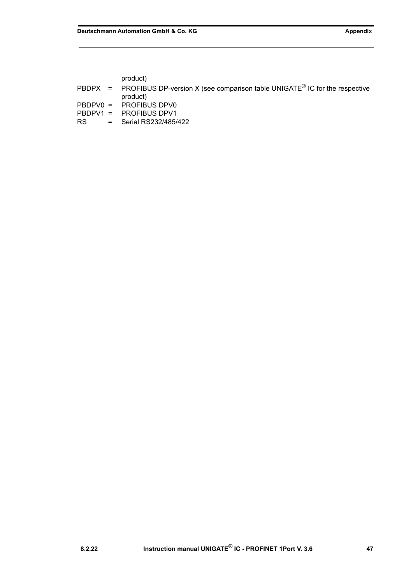product)

|  | PBDPX = PROFIBUS DP-version X (see comparison table UNIGATE <sup>®</sup> IC for the respective<br>product) |
|--|------------------------------------------------------------------------------------------------------------|
|  | PBDPV0 = PROFIBUS DPV0                                                                                     |
|  | PBDPV1 = PROFIBUS DPV1                                                                                     |

RS = Serial RS232/485/422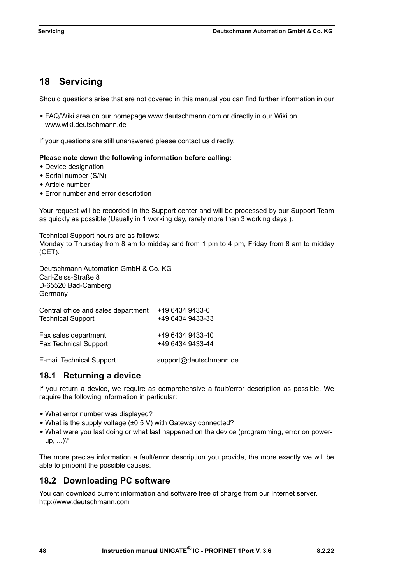# <span id="page-47-0"></span>**18 Servicing**

Should questions arise that are not covered in this manual you can find further information in our

**•** [FAQ/Wiki area on our homepage www.deutschmann.com or directly in our Wiki on](http://www.deutschmann.com)  [www.wiki.deutschmann.de](http://wiki.deutschmann.de/index.php?title=Deutschmann_Wiki/en)

If your questions are still unanswered please contact us directly.

#### **Please note down the following information before calling:**

- **•** Device designation
- **•** Serial number (S/N)
- **•** Article number
- **•** Error number and error description

Your request will be recorded in the Support center and will be processed by our Support Team as quickly as possible (Usually in 1 working day, rarely more than 3 working days.).

Technical Support hours are as follows: Monday to Thursday from 8 am to midday and from 1 pm to 4 pm, Friday from 8 am to midday (CET).

Deutschmann Automation GmbH & Co. KG Carl-Zeiss-Straße 8 D-65520 Bad-Camberg **Germany** 

| Central office and sales department | +49 6434 9433-0  |
|-------------------------------------|------------------|
| <b>Technical Support</b>            | +49 6434 9433-33 |
| Fax sales department                | +49 6434 9433-40 |
| <b>Fax Technical Support</b>        | +49 6434 9433-44 |

[E-mail Technical Support support@deutschmann.de](mailto:hotline@deutschmann.de)

## <span id="page-47-1"></span>**18.1 Returning a device**

If you return a device, we require as comprehensive a fault/error description as possible. We require the following information in particular:

- **•** What error number was displayed?
- **•** What is the supply voltage (±0.5 V) with Gateway connected?
- What were you last doing or what last happened on the device (programming, error on powerup, ...)?

The more precise information a fault/error description you provide, the more exactly we will be able to pinpoint the possible causes.

## <span id="page-47-2"></span>**18.2 Downloading PC software**

You can download current information and software free of charge from our Internet server. <http://www.deutschmann.com>